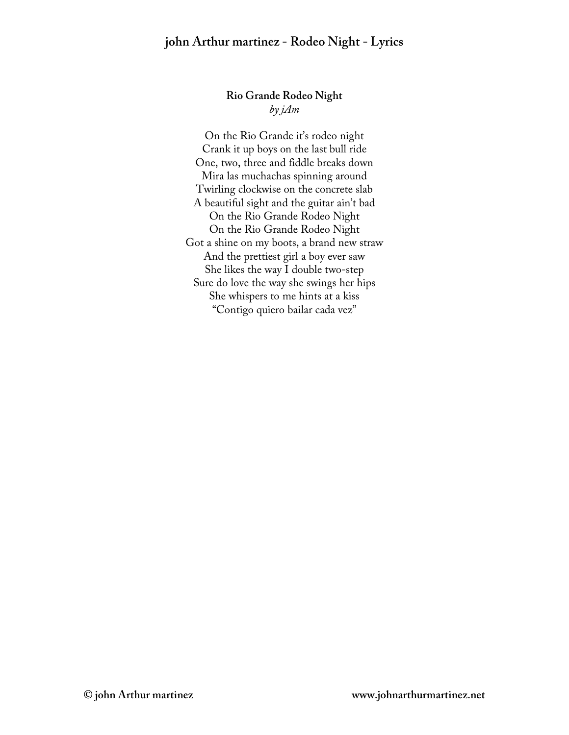### **Rio Grande Rodeo Night** *by jAm*

On the Rio Grande it's rodeo night Crank it up boys on the last bull ride One, two, three and fiddle breaks down Mira las muchachas spinning around Twirling clockwise on the concrete slab A beautiful sight and the guitar ain't bad On the Rio Grande Rodeo Night On the Rio Grande Rodeo Night Got a shine on my boots, a brand new straw And the prettiest girl a boy ever saw She likes the way I double two-step Sure do love the way she swings her hips She whispers to me hints at a kiss "Contigo quiero bailar cada vez"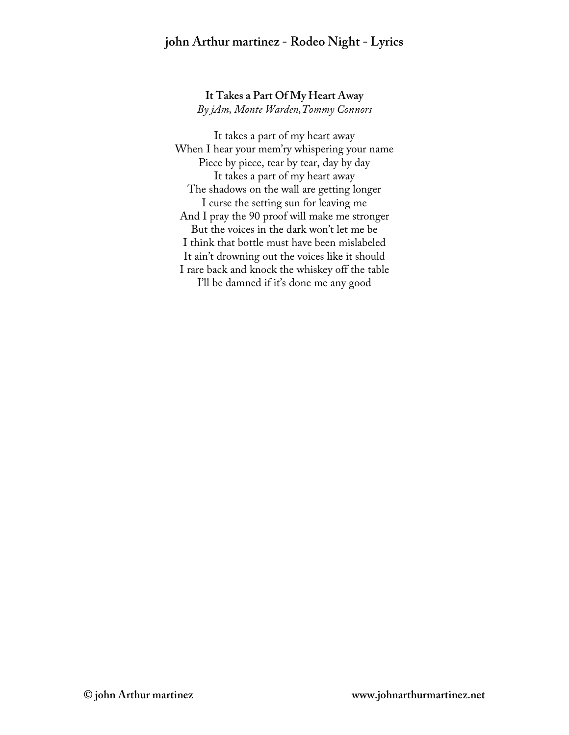**It Takes a Part Of My Heart Away** *By jAm, Monte Warden,Tommy Connors*

It takes a part of my heart away When I hear your mem'ry whispering your name Piece by piece, tear by tear, day by day It takes a part of my heart away The shadows on the wall are getting longer I curse the setting sun for leaving me And I pray the 90 proof will make me stronger But the voices in the dark won't let me be I think that bottle must have been mislabeled It ain't drowning out the voices like it should I rare back and knock the whiskey off the table I'll be damned if it's done me any good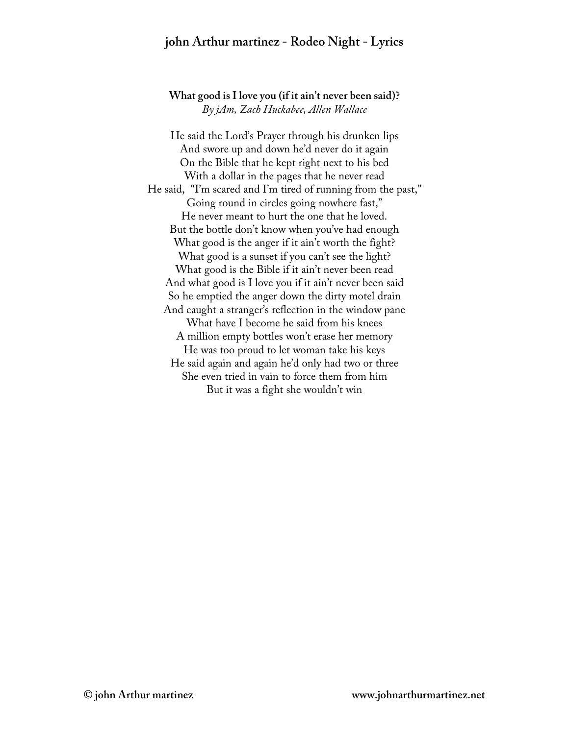**What good is I love you (if it ain't never been said)?** *By jAm, Zach Huckabee, Allen Wallace*

He said the Lord's Prayer through his drunken lips And swore up and down he'd never do it again On the Bible that he kept right next to his bed With a dollar in the pages that he never read He said, "I'm scared and I'm tired of running from the past," Going round in circles going nowhere fast," He never meant to hurt the one that he loved. But the bottle don't know when you've had enough What good is the anger if it ain't worth the fight? What good is a sunset if you can't see the light? What good is the Bible if it ain't never been read And what good is I love you if it ain't never been said So he emptied the anger down the dirty motel drain And caught a stranger's reflection in the window pane What have I become he said from his knees A million empty bottles won't erase her memory He was too proud to let woman take his keys He said again and again he'd only had two or three She even tried in vain to force them from him But it was a fight she wouldn't win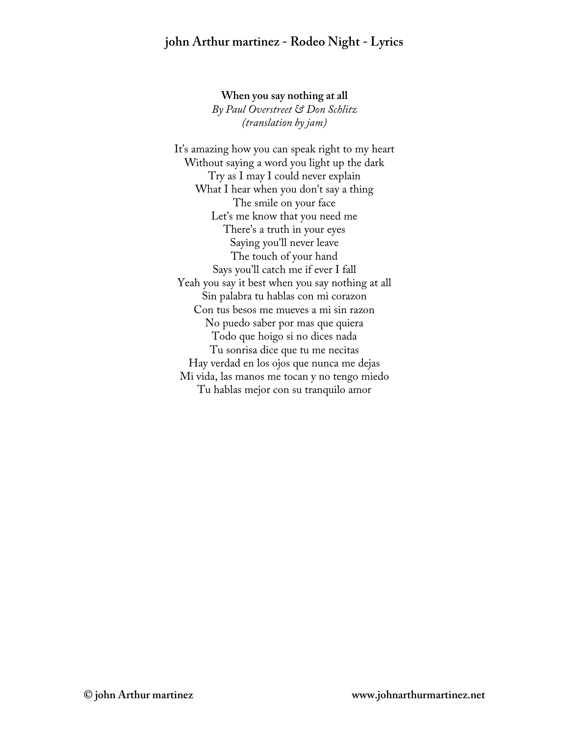**When you say nothing at all** *By Paul Overstreet & Don Schlitz (translation by jam)*

It's amazing how you can speak right to my heart Without saying a word you light up the dark Try as I may I could never explain What I hear when you don't say a thing The smile on your face Let's me know that you need me There's a truth in your eyes Saying you'll never leave The touch of your hand Says you'll catch me if ever I fall Yeah you say it best when you say nothing at all Sin palabra tu hablas con mi corazon Con tus besos me mueves a mi sin razon No puedo saber por mas que quiera Todo que hoigo si no dices nada Tu sonrisa dice que tu me necitas Hay verdad en los ojos que nunca me dejas Mi vida, las manos me tocan y no tengo miedo Tu hablas mejor con su tranquilo amor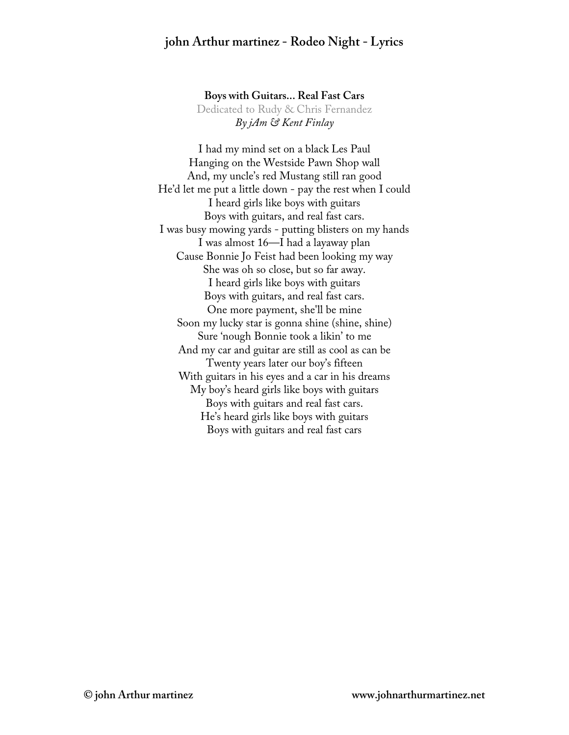**Boys with Guitars... Real Fast Cars** Dedicated to Rudy & Chris Fernandez *By jAm & Kent Finlay*

I had my mind set on a black Les Paul Hanging on the Westside Pawn Shop wall And, my uncle's red Mustang still ran good He'd let me put a little down - pay the rest when I could I heard girls like boys with guitars Boys with guitars, and real fast cars. I was busy mowing yards - putting blisters on my hands I was almost 16—I had a layaway plan Cause Bonnie Jo Feist had been looking my way She was oh so close, but so far away. I heard girls like boys with guitars Boys with guitars, and real fast cars. One more payment, she'll be mine Soon my lucky star is gonna shine (shine, shine) Sure 'nough Bonnie took a likin' to me And my car and guitar are still as cool as can be Twenty years later our boy's fifteen With guitars in his eyes and a car in his dreams My boy's heard girls like boys with guitars Boys with guitars and real fast cars. He's heard girls like boys with guitars Boys with guitars and real fast cars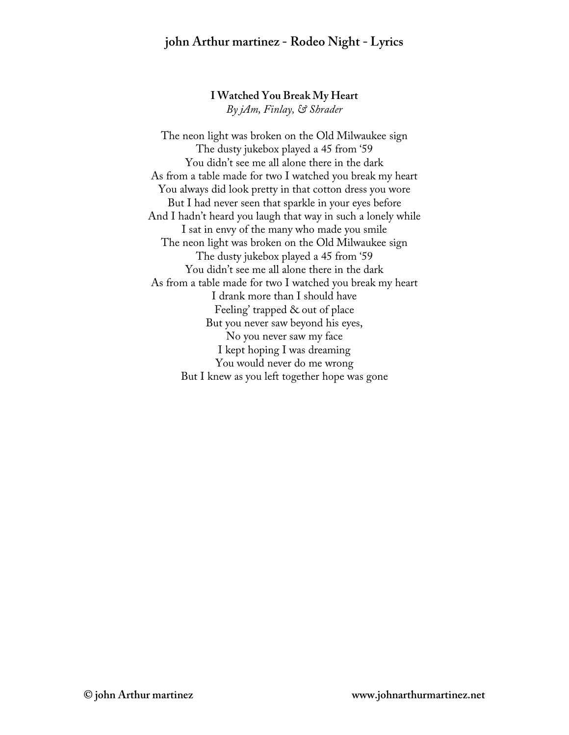**I Watched You Break My Heart** *By jAm, Finlay, & Shrader*

The neon light was broken on the Old Milwaukee sign The dusty jukebox played a 45 from '59 You didn't see me all alone there in the dark As from a table made for two I watched you break my heart You always did look pretty in that cotton dress you wore But I had never seen that sparkle in your eyes before And I hadn't heard you laugh that way in such a lonely while I sat in envy of the many who made you smile The neon light was broken on the Old Milwaukee sign The dusty jukebox played a 45 from '59 You didn't see me all alone there in the dark As from a table made for two I watched you break my heart I drank more than I should have Feeling' trapped & out of place But you never saw beyond his eyes, No you never saw my face I kept hoping I was dreaming You would never do me wrong But I knew as you left together hope was gone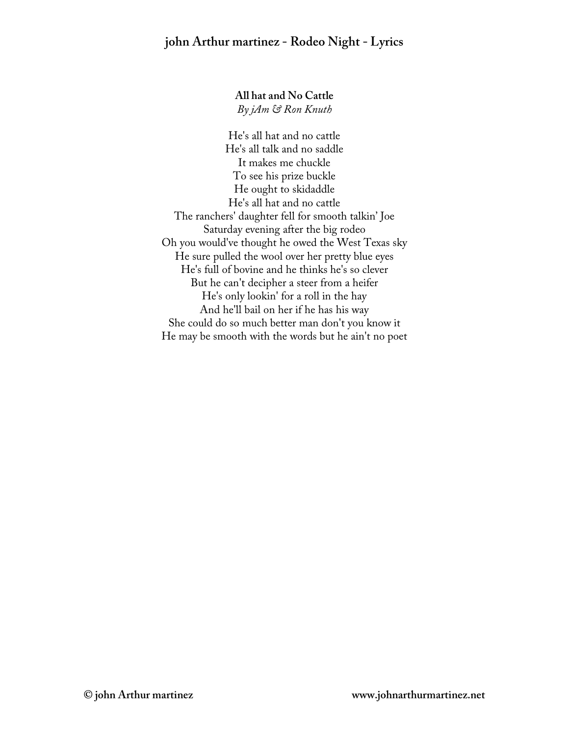**All hat and No Cattle** *By jAm & Ron Knuth*

He's all hat and no cattle He's all talk and no saddle It makes me chuckle To see his prize buckle He ought to skidaddle He's all hat and no cattle The ranchers' daughter fell for smooth talkin' Joe Saturday evening after the big rodeo Oh you would've thought he owed the West Texas sky He sure pulled the wool over her pretty blue eyes He's full of bovine and he thinks he's so clever But he can't decipher a steer from a heifer He's only lookin' for a roll in the hay And he'll bail on her if he has his way She could do so much better man don't you know it He may be smooth with the words but he ain't no poet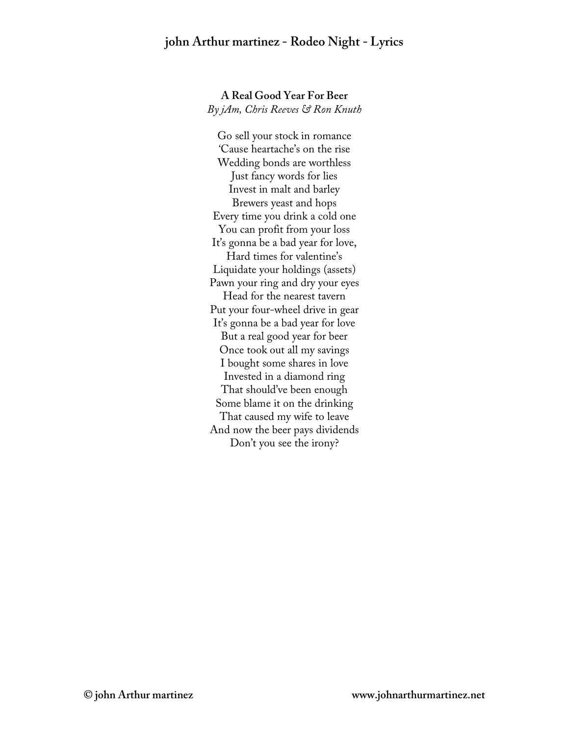**A Real Good Year For Beer** *By jAm, Chris Reeves & Ron Knuth*

Go sell your stock in romance 'Cause heartache's on the rise Wedding bonds are worthless Just fancy words for lies Invest in malt and barley Brewers yeast and hops Every time you drink a cold one You can profit from your loss It's gonna be a bad year for love, Hard times for valentine's Liquidate your holdings (assets) Pawn your ring and dry your eyes Head for the nearest tavern Put your four-wheel drive in gear It's gonna be a bad year for love But a real good year for beer Once took out all my savings I bought some shares in love Invested in a diamond ring That should've been enough Some blame it on the drinking That caused my wife to leave And now the beer pays dividends Don't you see the irony?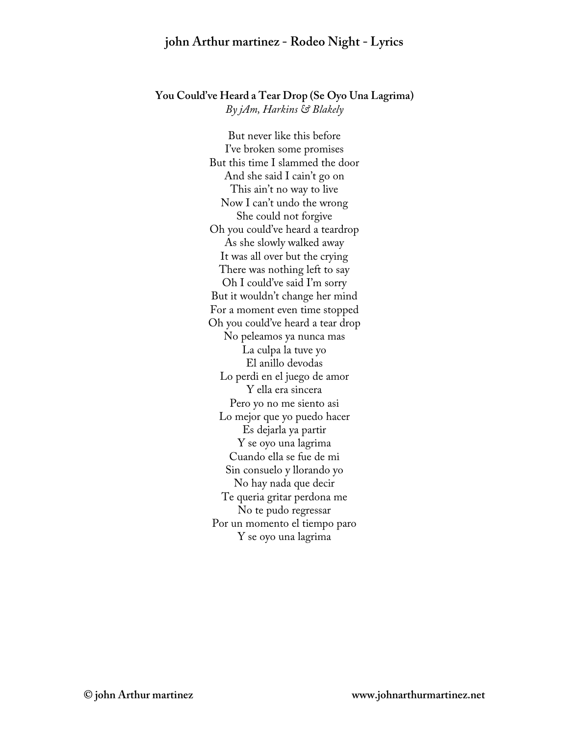#### **You Could've Heard a Tear Drop (Se Oyo Una Lagrima)** *By jAm, Harkins & Blakely*

But never like this before I've broken some promises But this time I slammed the door And she said I cain't go on This ain't no way to live Now I can't undo the wrong She could not forgive Oh you could've heard a teardrop As she slowly walked away It was all over but the crying There was nothing left to say Oh I could've said I'm sorry But it wouldn't change her mind For a moment even time stopped Oh you could've heard a tear drop No peleamos ya nunca mas La culpa la tuve yo El anillo devodas Lo perdi en el juego de amor Y ella era sincera Pero yo no me siento asi Lo mejor que yo puedo hacer Es dejarla ya partir Y se oyo una lagrima Cuando ella se fue de mi Sin consuelo y llorando yo No hay nada que decir Te queria gritar perdona me No te pudo regressar Por un momento el tiempo paro Y se oyo una lagrima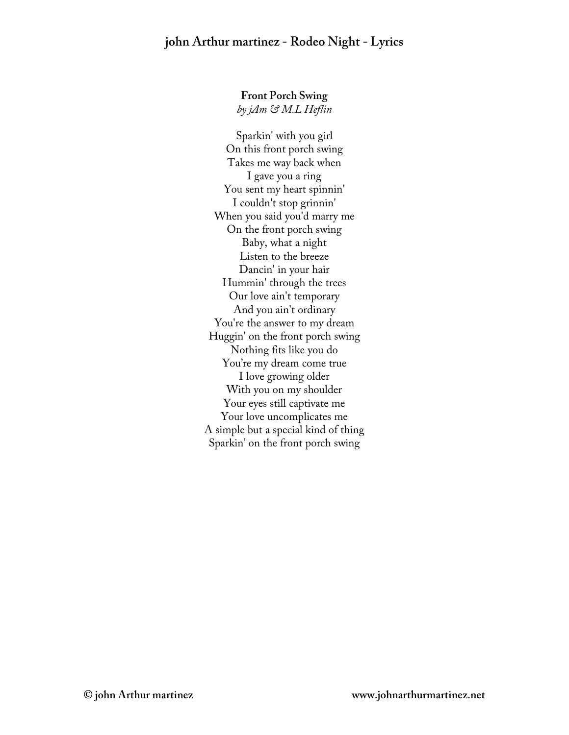### **Front Porch Swing**

*by jAm & M.L Heflin*

Sparkin' with you girl On this front porch swing Takes me way back when I gave you a ring You sent my heart spinnin' I couldn't stop grinnin' When you said you'd marry me On the front porch swing Baby, what a night Listen to the breeze Dancin' in your hair Hummin' through the trees Our love ain't temporary And you ain't ordinary You're the answer to my dream Huggin' on the front porch swing Nothing fits like you do You're my dream come true I love growing older With you on my shoulder Your eyes still captivate me Your love uncomplicates me A simple but a special kind of thing Sparkin' on the front porch swing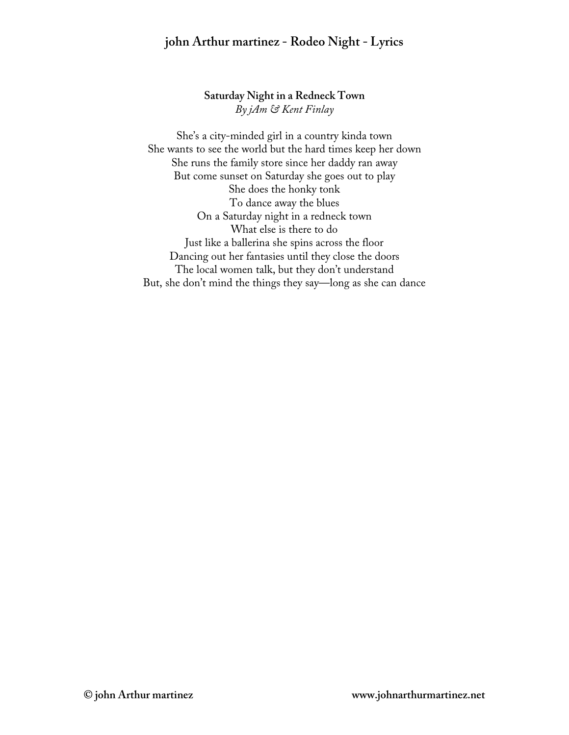### **Saturday Night in a Redneck Town** *By jAm & Kent Finlay*

She's a city-minded girl in a country kinda town She wants to see the world but the hard times keep her down She runs the family store since her daddy ran away But come sunset on Saturday she goes out to play She does the honky tonk To dance away the blues On a Saturday night in a redneck town What else is there to do Just like a ballerina she spins across the floor Dancing out her fantasies until they close the doors The local women talk, but they don't understand But, she don't mind the things they say—long as she can dance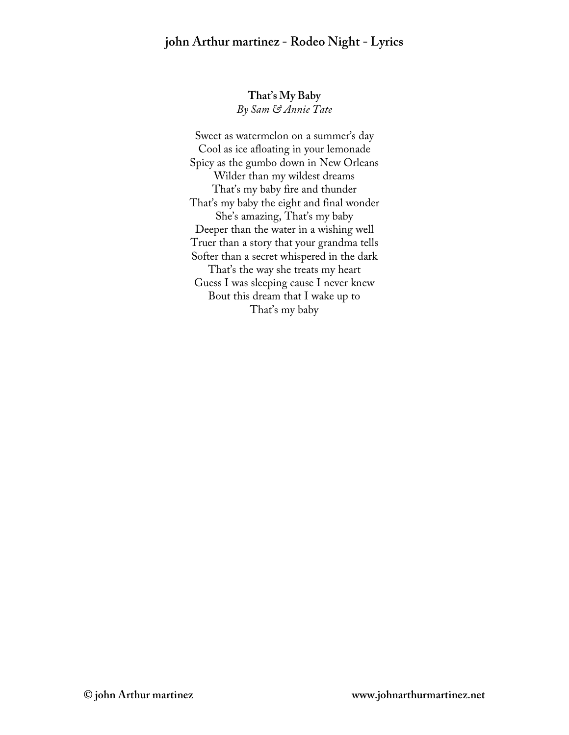## **That's My Baby**

*By Sam & Annie Tate*

Sweet as watermelon on a summer's day Cool as ice afloating in your lemonade Spicy as the gumbo down in New Orleans Wilder than my wildest dreams That's my baby fire and thunder That's my baby the eight and final wonder She's amazing, That's my baby Deeper than the water in a wishing well Truer than a story that your grandma tells Softer than a secret whispered in the dark That's the way she treats my heart Guess I was sleeping cause I never knew Bout this dream that I wake up to That's my baby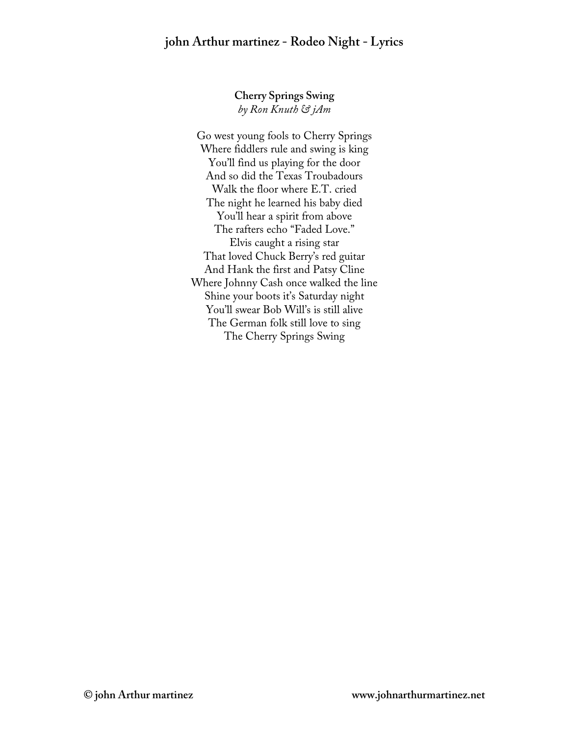**Cherry Springs Swing** *by Ron Knuth & jAm*

Go west young fools to Cherry Springs Where fiddlers rule and swing is king You'll find us playing for the door And so did the Texas Troubadours Walk the floor where E.T. cried The night he learned his baby died You'll hear a spirit from above The rafters echo "Faded Love." Elvis caught a rising star That loved Chuck Berry's red guitar And Hank the first and Patsy Cline Where Johnny Cash once walked the line Shine your boots it's Saturday night You'll swear Bob Will's is still alive The German folk still love to sing The Cherry Springs Swing